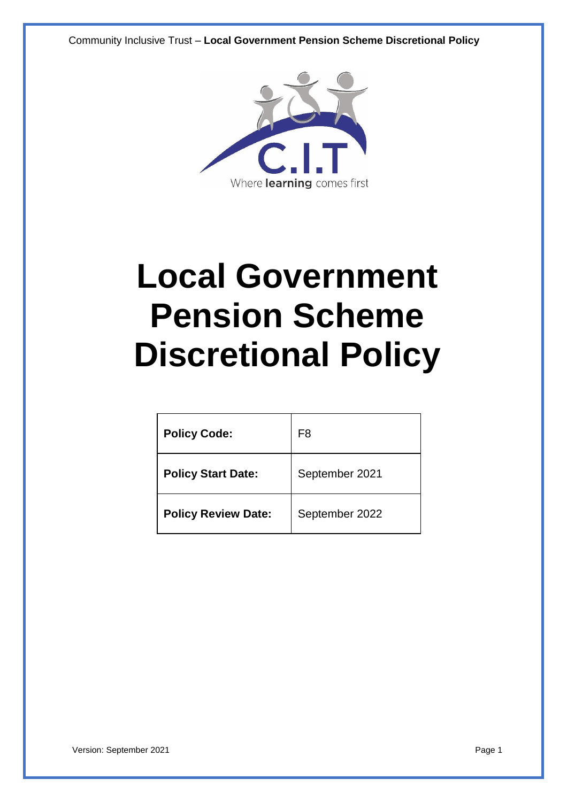Community Inclusive Trust – **Local Government Pension Scheme Discretional Policy**



# **Local Government Pension Scheme Discretional Policy**

| <b>Policy Code:</b>        | F8             |
|----------------------------|----------------|
| <b>Policy Start Date:</b>  | September 2021 |
| <b>Policy Review Date:</b> | September 2022 |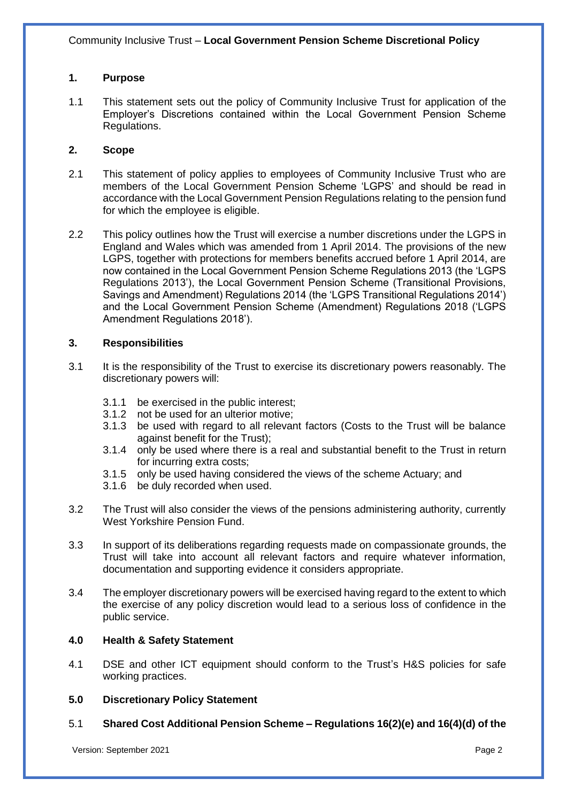## **1. Purpose**

1.1 This statement sets out the policy of Community Inclusive Trust for application of the Employer's Discretions contained within the Local Government Pension Scheme Regulations.

## **2. Scope**

- 2.1 This statement of policy applies to employees of Community Inclusive Trust who are members of the Local Government Pension Scheme 'LGPS' and should be read in accordance with the Local Government Pension Regulations relating to the pension fund for which the employee is eligible.
- 2.2 This policy outlines how the Trust will exercise a number discretions under the LGPS in England and Wales which was amended from 1 April 2014. The provisions of the new LGPS, together with protections for members benefits accrued before 1 April 2014, are now contained in the Local Government Pension Scheme Regulations 2013 (the 'LGPS Regulations 2013'), the Local Government Pension Scheme (Transitional Provisions, Savings and Amendment) Regulations 2014 (the 'LGPS Transitional Regulations 2014') and the Local Government Pension Scheme (Amendment) Regulations 2018 ('LGPS Amendment Regulations 2018').

## **3. Responsibilities**

- 3.1 It is the responsibility of the Trust to exercise its discretionary powers reasonably. The discretionary powers will:
	- 3.1.1 be exercised in the public interest;
	- 3.1.2 not be used for an ulterior motive;
	- 3.1.3 be used with regard to all relevant factors (Costs to the Trust will be balance against benefit for the Trust);
	- 3.1.4 only be used where there is a real and substantial benefit to the Trust in return for incurring extra costs;
	- 3.1.5 only be used having considered the views of the scheme Actuary; and
	- 3.1.6 be duly recorded when used.
- 3.2 The Trust will also consider the views of the pensions administering authority, currently West Yorkshire Pension Fund.
- 3.3 In support of its deliberations regarding requests made on compassionate grounds, the Trust will take into account all relevant factors and require whatever information, documentation and supporting evidence it considers appropriate.
- 3.4 The employer discretionary powers will be exercised having regard to the extent to which the exercise of any policy discretion would lead to a serious loss of confidence in the public service.

# **4.0 Health & Safety Statement**

4.1 DSE and other ICT equipment should conform to the Trust's H&S policies for safe working practices.

## **5.0 Discretionary Policy Statement**

5.1 **Shared Cost Additional Pension Scheme – Regulations 16(2)(e) and 16(4)(d) of the**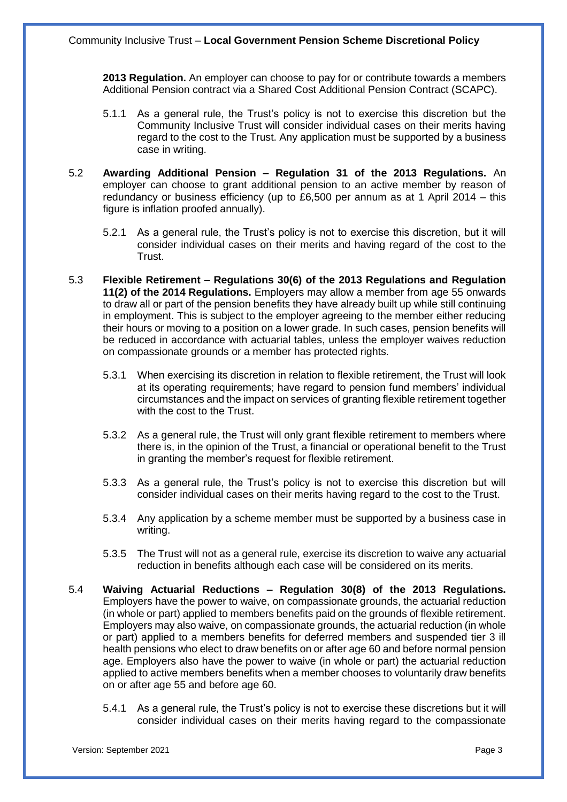**2013 Regulation.** An employer can choose to pay for or contribute towards a members Additional Pension contract via a Shared Cost Additional Pension Contract (SCAPC).

- 5.1.1 As a general rule, the Trust's policy is not to exercise this discretion but the Community Inclusive Trust will consider individual cases on their merits having regard to the cost to the Trust. Any application must be supported by a business case in writing.
- 5.2 **Awarding Additional Pension – Regulation 31 of the 2013 Regulations.** An employer can choose to grant additional pension to an active member by reason of redundancy or business efficiency (up to £6,500 per annum as at 1 April 2014 – this figure is inflation proofed annually).
	- 5.2.1 As a general rule, the Trust's policy is not to exercise this discretion, but it will consider individual cases on their merits and having regard of the cost to the Trust.
- 5.3 **Flexible Retirement – Regulations 30(6) of the 2013 Regulations and Regulation 11(2) of the 2014 Regulations.** Employers may allow a member from age 55 onwards to draw all or part of the pension benefits they have already built up while still continuing in employment. This is subject to the employer agreeing to the member either reducing their hours or moving to a position on a lower grade. In such cases, pension benefits will be reduced in accordance with actuarial tables, unless the employer waives reduction on compassionate grounds or a member has protected rights.
	- 5.3.1 When exercising its discretion in relation to flexible retirement, the Trust will look at its operating requirements; have regard to pension fund members' individual circumstances and the impact on services of granting flexible retirement together with the cost to the Trust.
	- 5.3.2 As a general rule, the Trust will only grant flexible retirement to members where there is, in the opinion of the Trust, a financial or operational benefit to the Trust in granting the member's request for flexible retirement.
	- 5.3.3 As a general rule, the Trust's policy is not to exercise this discretion but will consider individual cases on their merits having regard to the cost to the Trust.
	- 5.3.4 Any application by a scheme member must be supported by a business case in writing.
	- 5.3.5 The Trust will not as a general rule, exercise its discretion to waive any actuarial reduction in benefits although each case will be considered on its merits.
- 5.4 **Waiving Actuarial Reductions – Regulation 30(8) of the 2013 Regulations.** Employers have the power to waive, on compassionate grounds, the actuarial reduction (in whole or part) applied to members benefits paid on the grounds of flexible retirement. Employers may also waive, on compassionate grounds, the actuarial reduction (in whole or part) applied to a members benefits for deferred members and suspended tier 3 ill health pensions who elect to draw benefits on or after age 60 and before normal pension age. Employers also have the power to waive (in whole or part) the actuarial reduction applied to active members benefits when a member chooses to voluntarily draw benefits on or after age 55 and before age 60.
	- 5.4.1 As a general rule, the Trust's policy is not to exercise these discretions but it will consider individual cases on their merits having regard to the compassionate